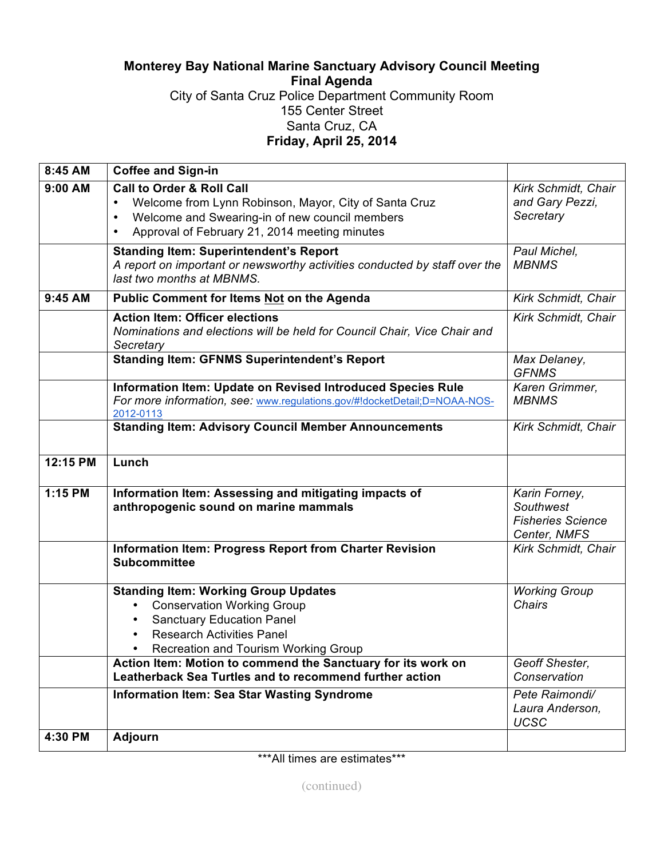## **Monterey Bay National Marine Sanctuary Advisory Council Meeting Final Agenda** City of Santa Cruz Police Department Community Room 155 Center Street Santa Cruz, CA **Friday, April 25, 2014**

| 8:45 AM  | <b>Coffee and Sign-in</b>                                                                                                                                                                                                  |                                                                        |
|----------|----------------------------------------------------------------------------------------------------------------------------------------------------------------------------------------------------------------------------|------------------------------------------------------------------------|
| 9:00 AM  | <b>Call to Order &amp; Roll Call</b><br>Welcome from Lynn Robinson, Mayor, City of Santa Cruz<br>Welcome and Swearing-in of new council members<br>$\bullet$<br>Approval of February 21, 2014 meeting minutes<br>$\bullet$ | Kirk Schmidt, Chair<br>and Gary Pezzi,<br>Secretary                    |
|          | <b>Standing Item: Superintendent's Report</b><br>A report on important or newsworthy activities conducted by staff over the<br>last two months at MBNMS.                                                                   | Paul Michel,<br><b>MBNMS</b>                                           |
| 9:45 AM  | <b>Public Comment for Items Not on the Agenda</b>                                                                                                                                                                          | Kirk Schmidt, Chair                                                    |
|          | <b>Action Item: Officer elections</b><br>Nominations and elections will be held for Council Chair, Vice Chair and<br>Secretary                                                                                             | Kirk Schmidt, Chair                                                    |
|          | <b>Standing Item: GFNMS Superintendent's Report</b>                                                                                                                                                                        | Max Delaney,<br><b>GFNMS</b>                                           |
|          | Information Item: Update on Revised Introduced Species Rule<br>For more information, see: www.regulations.gov/#!docketDetail;D=NOAA-NOS-<br>2012-0113                                                                      | Karen Grimmer,<br><b>MBNMS</b>                                         |
|          | <b>Standing Item: Advisory Council Member Announcements</b>                                                                                                                                                                | Kirk Schmidt, Chair                                                    |
| 12:15 PM | Lunch                                                                                                                                                                                                                      |                                                                        |
| 1:15 PM  | Information Item: Assessing and mitigating impacts of<br>anthropogenic sound on marine mammals                                                                                                                             | Karin Forney,<br>Southwest<br><b>Fisheries Science</b><br>Center, NMFS |
|          | Information Item: Progress Report from Charter Revision<br><b>Subcommittee</b>                                                                                                                                             | Kirk Schmidt, Chair                                                    |
|          | <b>Standing Item: Working Group Updates</b><br><b>Conservation Working Group</b><br>$\bullet$<br><b>Sanctuary Education Panel</b><br>$\bullet$<br><b>Research Activities Panel</b><br>Recreation and Tourism Working Group | <b>Working Group</b><br><b>Chairs</b>                                  |
|          | Action Item: Motion to commend the Sanctuary for its work on<br>Leatherback Sea Turtles and to recommend further action                                                                                                    | Geoff Shester,<br>Conservation                                         |
|          | <b>Information Item: Sea Star Wasting Syndrome</b>                                                                                                                                                                         | Pete Raimondi/<br>Laura Anderson,<br><b>UCSC</b>                       |
| 4:30 PM  | <b>Adjourn</b>                                                                                                                                                                                                             |                                                                        |

\*\*\*All times are estimates\*\*\*